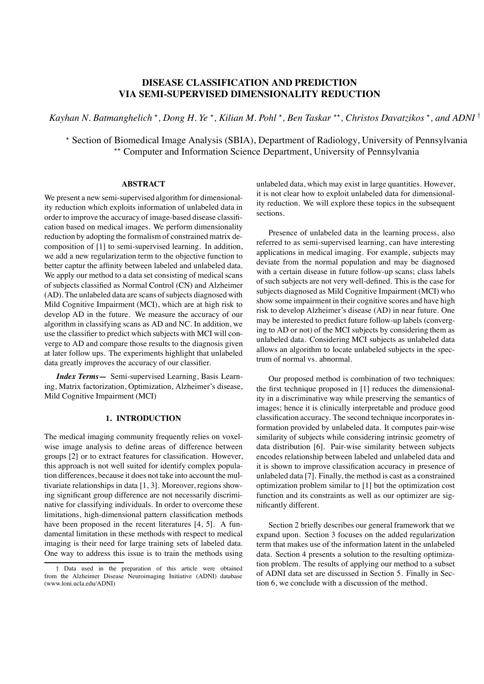# **DISEASE CLASSIFICATION AND PREDICTION VIA SEMI-SUPERVISED DIMENSIONALITY REDUCTION**

*Kayhan N. Batmanghelich*  $*$ , *Dong H. Ye*  $*$ , *Kilian M. Pohl*  $*$ , *Ben Taskar*  $**$ , *Christos Davatzikos*  $*$ , *and ADNI* <sup>†</sup>

\* Section of Biomedical Image Analysis (SBIA), Department of Radiology, University of Pennsylvania<br>\*\* Computer and Information Science Department, University of Pennsylvania

### **ABSTRACT**

We present a new semi-supervised algorithm for dimensionality reduction which exploits information of unlabeled data in order to improve the accuracy of image-based disease classification based on medical images. We perform dimensionality reduction by adopting the formalism of constrained matrix decomposition of [1] to semi-supervised learning. In addition, we add a new regularization term to the objective function to better captur the affinity between labeled and unlabeled data. We apply our method to a data set consisting of medical scans of subjects classified as Normal Control (CN) and Alzheimer (AD). The unlabeled data are scans of subjects diagnosed with Mild Cognitive Impairment (MCI), which are at high risk to develop AD in the future. We measure the accuracy of our algorithm in classifying scans as AD and NC. In addition, we use the classifier to predict which subjects with MCI will converge to AD and compare those results to the diagnosis given at later follow ups. The experiments highlight that unlabeled data greatly improves the accuracy of our classifier.

*Index Terms***—** Semi-supervised Learning, Basis Learning, Matrix factorization, Optimization, Alzheimer's disease, Mild Cognitive Impairment (MCI)

#### **1. INTRODUCTION**

The medical imaging community frequently relies on voxelwise image analysis to define areas of difference between groups [2] or to extract features for classification. However, this approach is not well suited for identify complex population differences, because it does not take into account the multivariate relationships in data [1, 3]. Moreover, regions showing significant group difference are not necessarily discriminative for classifying individuals. In order to overcome these limitations, high-dimensional pattern classification methods have been proposed in the recent literatures [4, 5]. A fundamental limitation in these methods with respect to medical imaging is their need for large training sets of labeled data. One way to address this issue is to train the methods using

unlabeled data, which may exist in large quantities. However, it is not clear how to exploit unlabeled data for dimensionality reduction. We will explore these topics in the subsequent sections.

Presence of unlabeled data in the learning process, also referred to as semi-supervised learning, can have interesting applications in medical imaging. For example, subjects may deviate from the normal population and may be diagnosed with a certain disease in future follow-up scans; class labels of such subjects are not very well-defined. This is the case for subjects diagnosed as Mild Cognitive Impairment (MCI) who show some impairment in their cognitive scores and have high risk to develop Alzheimer's disease (AD) in near future. One may be interested to predict future follow-up labels (converging to AD or not) of the MCI subjects by considering them as unlabeled data. Considering MCI subjects as unlabeled data allows an algorithm to locate unlabeled subjects in the spectrum of normal vs. abnormal.

Our proposed method is combination of two techniques: the first technique proposed in [1] reduces the dimensionality in a discriminative way while preserving the semantics of images; hence it is clinically interpretable and produce good classification accuracy. The second technique incorporates information provided by unlabeled data. It computes pair-wise similarity of subjects while considering intrinsic geometry of data distribution [6]. Pair-wise similarity between subjects encodes relationship between labeled and unlabeled data and it is shown to improve classification accuracy in presence of unlabeled data [7]. Finally, the method is cast as a constrained optimization problem similar to [1] but the optimization cost function and its constraints as well as our optimizer are significantly different.

Section 2 briefly describes our general framework that we expand upon. Section 3 focuses on the added regularization term that makes use of the information latent in the unlabeled data. Section 4 presents a solution to the resulting optimization problem. The results of applying our method to a subset of ADNI data set are discussed in Section 5. Finally in Section 6, we conclude with a discussion of the method.

<sup>†</sup> Data used in the preparation of this article were obtained from the Alzheimer Disease Neuroimaging Initiative (ADNI) database (www.loni.ucla.edu/ADNI)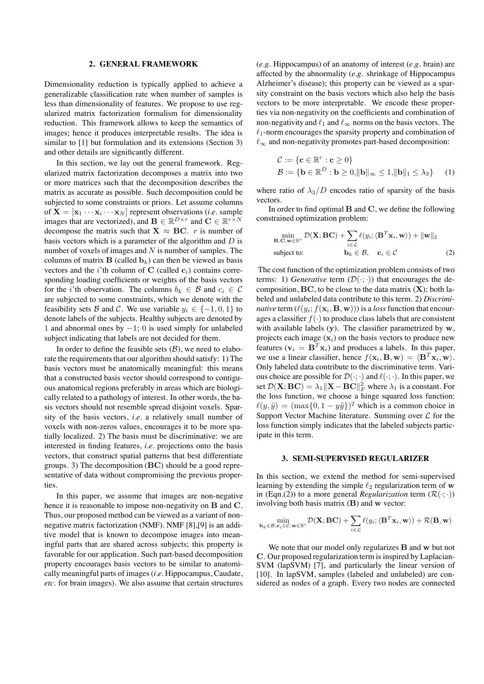### **2. GENERAL FRAMEWORK**

Dimensionality reduction is typically applied to achieve a generalizable classification rate when number of samples is less than dimensionality of features. We propose to use regularized matrix factorization formalism for dimensionality reduction. This framework allows to keep the semantics of images; hence it produces interpretable results. The idea is similar to [1] but formulation and its extensions (Section 3) and other details are significantly different.

In this section, we lay out the general framework. Regularized matrix factorization decomposes a matrix into two or more matrices such that the decomposition describes the matrix as accurate as possible. Such decomposition could be subjected to some constraints or priors. Let assume columns of  $X = [x_1 \cdots x_i \cdots x_N]$  represent observations (*i.e.* sample images that are vectorized), and  $\mathbf{B} \in \mathbb{R}^{D \times r}$  and  $\mathbf{C} \in \mathbb{R}^{r \times N}$ decompose the matrix such that  $X \approx BC$ . *r* is number of basis vectors which is a parameter of the algorithm and  $D$  is number of voxels of images and  $N$  is number of samples. The columns of matrix  $\mathbf B$  (called  $\mathbf b_k$ ) can then be viewed as basis vectors and the *i*'th column of C (called  $c_i$ ) contains corresponding loading coefficients or weights of the basis vectors for the *i*'th observation. The columns  $b_k \in \mathcal{B}$  and  $c_i \in \mathcal{C}$ are subjected to some constraints, which we denote with the feasibility sets B and C. We use variable  $y_i \in \{-1, 0, 1\}$  to denote labels of the subjects. Healthy subjects are denoted by 1 and abnormal ones by −1; 0 is used simply for unlabeled subject indicating that labels are not decided for them.

In order to define the feasible sets  $(\beta)$ , we need to elaborate the requirements that our algorithm should satisfy: 1) The basis vectors must be anatomically meaningful: this means that a constructed basis vector should correspond to contiguous anatomical regions preferably in areas which are biologically related to a pathology of interest. In other words, the basis vectors should not resemble spread disjoint voxels. Sparsity of the basis vectors, *i.e.* a relatively small number of voxels with non-zeros values, encourages it to be more spatially localized. 2) The basis must be discriminative: we are interested in finding features, *i.e.* projections onto the basis vectors, that construct spatial patterns that best differentiate groups. 3) The decomposition (BC) should be a good representative of data without compromising the previous properties.

In this paper, we assume that images are non-negative hence it is reasonable to impose non-negativity on **B** and **C**. Thus, our proposed method can be viewed as a variant of nonnegative matrix factorization (NMF). NMF [8],[9] is an additive model that is known to decompose images into meaningful parts that are shared across subjects; this property is favorable for our application. Such part-based decomposition property encourages basis vectors to be similar to anatomically meaningful parts of images (*i.e.* Hippocampus, Caudate, *etc.* for brain images). We also assume that certain structures

(*e.g.* Hippocampus) of an anatomy of interest (*e.g.* brain) are affected by the abnormality (*e.g.* shrinkage of Hippocampus Alzheimer's disease); this property can be viewed as a sparsity constraint on the basis vectors which also help the basis vectors to be more interpretable. We encode these properties via non-negativity on the coefficients and combination of non-negativity and  $\ell_1$  and  $\ell_{\infty}$  norms on the basis vectors. The  $\ell_1$ -norm encourages the sparsity property and combination of  $\ell_{\infty}$  and non-negativity promotes part-based decomposition:

$$
C := \{ \mathbf{c} \in \mathbb{R}^r : \mathbf{c} \ge 0 \}
$$
  

$$
B := \{ \mathbf{b} \in \mathbb{R}^D : \mathbf{b} \ge 0, \|\mathbf{b}\|_{\infty} \le 1, \|\mathbf{b}\|_{1} \le \lambda_3 \}
$$
 (1)

where ratio of  $\lambda_3/D$  encodes ratio of sparsity of the basis vectors.

In order to find optimal  $B$  and  $C$ , we define the following constrained optimization problem:

$$
\min_{\mathbf{B}, \mathbf{C}, \mathbf{w} \in \mathbb{R}^r} \mathcal{D}(\mathbf{X}; \mathbf{BC}) + \sum_{i \in \mathcal{L}} \ell(y_i; \langle \mathbf{B}^T \mathbf{x}_i, \mathbf{w} \rangle) + ||\mathbf{w}||_2
$$
\nsubject to: 
$$
\mathbf{b}_k \in \mathcal{B}, \quad \mathbf{c}_i \in \mathcal{C}
$$
\n(2)

The cost function of the optimization problem consists of two terms: 1) *Generative* term  $(\mathcal{D}(\cdot;\cdot))$  that encourages the decomposition,  $\mathbf{BC}$ , to be close to the data matrix  $(\mathbf{X})$ ; both labeled and unlabeled data contribute to this term. 2) *Discriminative* term  $(\ell(y_i; f(\mathbf{x}_i, \mathbf{B}, \mathbf{w})))$  is a *loss* function that encourages a classifier  $f(\cdot)$  to produce class labels that are consistent with available labels  $(v)$ . The classifier parametrized by  $w$ , projects each image  $(x_i)$  on the basis vectors to produce new features ( $v_i = B^T x_i$ ) and produces a labels. In this paper, we use a linear classifier, hence  $f(\mathbf{x}_i, \mathbf{B}, \mathbf{w}) = \langle \mathbf{B}^T \mathbf{x}_i, \mathbf{w} \rangle$ . Only labeled data contribute to the discriminative term. Various choice are possible for  $\mathcal{D}(\cdot;\cdot)$  and  $\ell(\cdot;\cdot)$ . In this paper, we set  $\mathcal{D}(\mathbf{X}; \mathbf{BC}) = \lambda_1 ||\mathbf{X} - \mathbf{BC}||^2_F$  where  $\lambda_1$  is a constant. For the loss function, we choose a hinge squared loss function:  $\ell(y, \tilde{y}) = (\max\{0, 1 - y\tilde{y}\})^2$  which is a common choice in Support Vector Machine literature. Summing over  $\mathcal L$  for the loss function simply indicates that the labeled subjects participate in this term.

#### **3. SEMI-SUPERVISED REGULARIZER**

In this section, we extend the method for semi-supervised learning by extending the simple  $\ell_2$  regularization term of w in (Eqn.(2)) to a more general *Regularization* term  $(\mathcal{R}(\cdot;\cdot))$ involving both basis matrix  $(B)$  and w vector:

$$
\min_{\mathbf{b}_k \in \mathcal{B}, \mathbf{c}_i \in \mathcal{C}, \mathbf{w} \in \mathbb{R}^r} \mathcal{D}(\mathbf{X}; \mathbf{B}\mathbf{C}) + \sum_{i \in \mathcal{L}} \ell(y_i; \langle \mathbf{B}^T \mathbf{x}_i, \mathbf{w} \rangle) + \mathcal{R}(\mathbf{B}, \mathbf{w})
$$

We note that our model only regularizes  **and**  $**w**$  **but not** C. Our proposed regularization term is inspired by Laplacian-SVM (lapSVM) [7], and particularly the linear version of [10]. In lapSVM, samples (labeled and unlabeled) are considered as nodes of a graph. Every two nodes are connected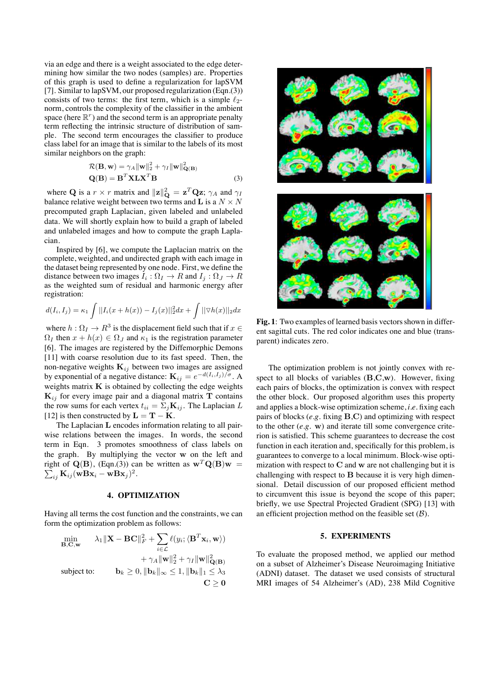via an edge and there is a weight associated to the edge determining how similar the two nodes (samples) are. Properties of this graph is used to define a regularization for lapSVM [7]. Similar to lapSVM, our proposed regularization (Eqn.(3)) consists of two terms: the first term, which is a simple  $\ell_2$ norm, controls the complexity of the classifier in the ambient space (here  $\mathbb{R}^r$ ) and the second term is an appropriate penalty term reflecting the intrinsic structure of distribution of sample. The second term encourages the classifier to produce class label for an image that is similar to the labels of its most similar neighbors on the graph:

$$
\mathcal{R}(\mathbf{B}, \mathbf{w}) = \gamma_A \|\mathbf{w}\|_2^2 + \gamma_I \|\mathbf{w}\|_{\mathbf{Q}(\mathbf{B})}^2
$$
  
 
$$
\mathbf{Q}(\mathbf{B}) = \mathbf{B}^T \mathbf{X} \mathbf{L} \mathbf{X}^T \mathbf{B}
$$
 (3)

where Q is a  $r \times r$  matrix and  $||\mathbf{z}||_{\mathbf{Q}}^2 = \mathbf{z}^T \mathbf{Q} \mathbf{z}$ ;  $\gamma_A$  and  $\gamma_I$ balance relative weight between two terms and L is a  $N \times N$ precomputed graph Laplacian, given labeled and unlabeled data. We will shortly explain how to build a graph of labeled and unlabeled images and how to compute the graph Laplacian.

Inspired by [6], we compute the Laplacian matrix on the complete, weighted, and undirected graph with each image in the dataset being represented by one node. First, we define the distance between two images  $I_i : \Omega_I \to R$  and  $I_j : \Omega_J \to R$ as the weighted sum of residual and harmonic energy after registration:

$$
d(I_i, I_j) = \kappa_1 \int ||I_i(x + h(x)) - I_j(x)||_2^2 dx + \int ||\nabla h(x)||_2 dx
$$

where  $h: \Omega_I \to \mathbb{R}^3$  is the displacement field such that if  $x \in \Omega$  $\Omega_I$  then  $x + h(x) \in \Omega_J$  and  $\kappa_1$  is the registration parameter [6]. The images are registered by the Diffemorphic Demons [11] with coarse resolution due to its fast speed. Then, the non-negative weights  $\mathbf{K}_{ij}$  between two images are assigned by exponential of a negative distance:  $\mathbf{K}_{ij} = e^{-d(I_i, I_j)/\sigma}$ . A weights matrix  $K$  is obtained by collecting the edge weights  $K_{ij}$  for every image pair and a diagonal matrix T contains the row sums for each vertex  $t_{ii} = \sum_j \mathbf{K}_{ij}$ . The Laplacian L [12] is then constructed by  $\mathbf{L} = \mathbf{T} - \mathbf{K}$ .

The Laplacian L encodes information relating to all pairwise relations between the images. In words, the second term in Eqn. 3 promotes smoothness of class labels on the graph. By multiplying the vector w on the left and  $\sum_{ij} \mathbf{K}_{ij} (\mathbf{wBx}_i - \mathbf{wBx}_j)^2.$ right of  $Q(B)$ , (Eqn.(3)) can be written as  $w^T Q(B) w =$ 

### **4. OPTIMIZATION**

Having all terms the cost function and the constraints, we can form the optimization problem as follows:

$$
\min_{\mathbf{B},\mathbf{C},\mathbf{w}} \quad \lambda_1 \|\mathbf{X} - \mathbf{B}\mathbf{C}\|_F^2 + \sum_{i \in \mathcal{L}} \ell(y_i; \langle \mathbf{B}^T \mathbf{x}_i, \mathbf{w} \rangle) \n+ \gamma_A \|\mathbf{w}\|_2^2 + \gamma_I \|\mathbf{w}\|_{\mathbf{Q}(\mathbf{B})}^2 \n\text{subject to:} \quad \mathbf{b}_k \ge 0, \|\mathbf{b}_k\|_{\infty} \le 1, \|\mathbf{b}_k\|_1 \le \lambda_3 \n\mathbf{C} \ge 0
$$



**Fig. 1**: Two examples of learned basis vectors shown in different sagittal cuts. The red color indicates one and blue (transparent) indicates zero.

The optimization problem is not jointly convex with respect to all blocks of variables  $(B,C,w)$ . However, fixing each pairs of blocks, the optimization is convex with respect the other block. Our proposed algorithm uses this property and applies a block-wise optimization scheme, *i.e.* fixing each pairs of blocks (*e.g.* fixing B,C) and optimizing with respect to the other (*e.g.* w) and iterate till some convergence criterion is satisfied. This scheme guarantees to decrease the cost function in each iteration and, specifically for this problem, is guarantees to converge to a local minimum. Block-wise optimization with respect to  $C$  and w are not challenging but it is challenging with respect to  $B$  because it is very high dimensional. Detail discussion of our proposed efficient method to circumvent this issue is beyond the scope of this paper; briefly, we use Spectral Projected Gradient (SPG) [13] with an efficient projection method on the feasible set  $(\beta)$ .

### **5. EXPERIMENTS**

To evaluate the proposed method, we applied our method on a subset of Alzheimer's Disease Neuroimaging Initiative (ADNI) dataset. The dataset we used consists of structural MRI images of 54 Alzheimer's (AD), 238 Mild Cognitive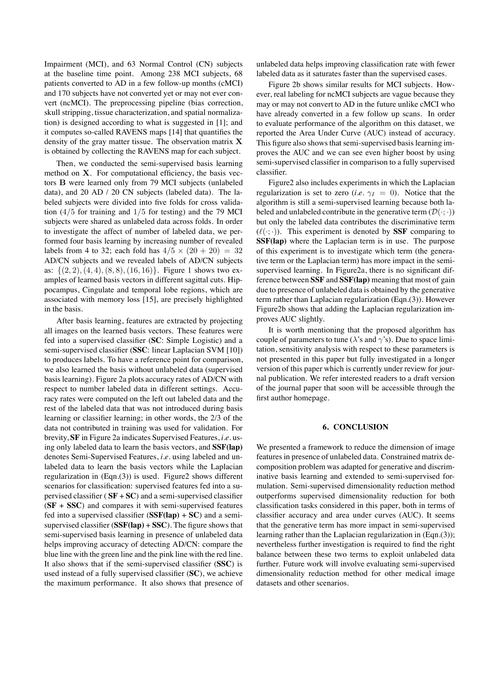Impairment (MCI), and 63 Normal Control (CN) subjects at the baseline time point. Among 238 MCI subjects, 68 patients converted to AD in a few follow-up months (cMCI) and 170 subjects have not converted yet or may not ever convert (ncMCI). The preprocessing pipeline (bias correction, skull stripping, tissue characterization, and spatial normalization) is designed according to what is suggested in [1]; and it computes so-called RAVENS maps [14] that quantifies the density of the gray matter tissue. The observation matrix  $X$ is obtained by collecting the RAVENS map for each subject.

Then, we conducted the semi-supervised basis learning method on X. For computational efficiency, the basis vectors B were learned only from 79 MCI subjects (unlabeled data), and 20 AD / 20 CN subjects (labeled data). The labeled subjects were divided into five folds for cross validation  $(4/5$  for training and  $1/5$  for testing) and the 79 MCI subjects were shared as unlabeled data across folds. In order to investigate the affect of number of labeled data, we performed four basis learning by increasing number of revealed labels from 4 to 32; each fold has  $4/5 \times (20 + 20) = 32$ AD/CN subjects and we revealed labels of AD/CN subjects as:  $\{(2, 2), (4, 4), (8, 8), (16, 16)\}.$  Figure 1 shows two examples of learned basis vectors in different sagittal cuts. Hippocampus, Cingulate and temporal lobe regions, which are associated with memory loss [15], are precisely highlighted in the basis.

After basis learning, features are extracted by projecting all images on the learned basis vectors. These features were fed into a supervised classifier (**SC**: Simple Logistic) and a semi-supervised classifier (**SSC**: linear Laplacian SVM [10]) to produces labels. To have a reference point for comparison, we also learned the basis without unlabeled data (supervised basis learning). Figure 2a plots accuracy rates of AD/CN with respect to number labeled data in different settings. Accuracy rates were computed on the left out labeled data and the rest of the labeled data that was not introduced during basis learning or classifier learning; in other words, the 2/3 of the data not contributed in training was used for validation. For brevity, **SF** in Figure 2a indicates Supervised Features, *i.e.* using only labeled data to learn the basis vectors, and **SSF(lap)** denotes Semi-Supervised Features, *i.e.* using labeled and unlabeled data to learn the basis vectors while the Laplacian regularization in (Eqn.(3)) is used. Figure2 shows different scenarios for classification: supervised features fed into a supervised classifier ( $SF + SC$ ) and a semi-supervised classifier (**SF** + **SSC**) and compares it with semi-supervised features fed into a supervised classifier (**SSF(lap)** + **SC**) and a semisupervised classifier (**SSF(lap)** + **SSC**). The figure shows that semi-supervised basis learning in presence of unlabeled data helps improving accuracy of detecting AD/CN: compare the blue line with the green line and the pink line with the red line. It also shows that if the semi-supervised classifier (**SSC**) is used instead of a fully supervised classifier (**SC**), we achieve the maximum performance. It also shows that presence of unlabeled data helps improving classification rate with fewer labeled data as it saturates faster than the supervised cases.

Figure 2b shows similar results for MCI subjects. However, real labeling for ncMCI subjects are vague because they may or may not convert to AD in the future unlike cMCI who have already converted in a few follow up scans. In order to evaluate performance of the algorithm on this dataset, we reported the Area Under Curve (AUC) instead of accuracy. This figure also shows that semi-supervised basis learning improves the AUC and we can see even higher boost by using semi-supervised classifier in comparison to a fully supervised classifier.

Figure2 also includes experiments in which the Laplacian regularization is set to zero (*i.e.*  $\gamma_I = 0$ ). Notice that the algorithm is still a semi-supervised learning because both labeled and unlabeled contribute in the generative term  $(\mathcal{D}(\cdot;\cdot))$ but only the labeled data contributes the discriminative term  $(\ell(\cdot;\cdot))$ . This experiment is denoted by **SSF** comparing to **SSF(lap)** where the Laplacian term is in use. The purpose of this experiment is to investigate which term (the generative term or the Laplacian term) has more impact in the semisupervised learning. In Figure2a, there is no significant difference between **SSF** and **SSF(lap)** meaning that most of gain due to presence of unlabeled data is obtained by the generative term rather than Laplacian regularization (Eqn.(3)). However Figure2b shows that adding the Laplacian regularization improves AUC slightly.

It is worth mentioning that the proposed algorithm has couple of parameters to tune ( $\lambda$ 's and  $\gamma$ 's). Due to space limitation, sensitivity analysis with respect to these parameters is not presented in this paper but fully investigated in a longer version of this paper which is currently under review for journal publication. We refer interested readers to a draft version of the journal paper that soon will be accessible through the first author homepage.

#### **6. CONCLUSION**

We presented a framework to reduce the dimension of image features in presence of unlabeled data. Constrained matrix decomposition problem was adapted for generative and discriminative basis learning and extended to semi-supervised formulation. Semi-supervised dimensionality reduction method outperforms supervised dimensionality reduction for both classification tasks considered in this paper, both in terms of classifier accuracy and area under curves (AUC). It seems that the generative term has more impact in semi-supervised learning rather than the Laplacian regularization in (Eqn.(3)); nevertheless further investigation is required to find the right balance between these two terms to exploit unlabeled data further. Future work will involve evaluating semi-supervised dimensionality reduction method for other medical image datasets and other scenarios.